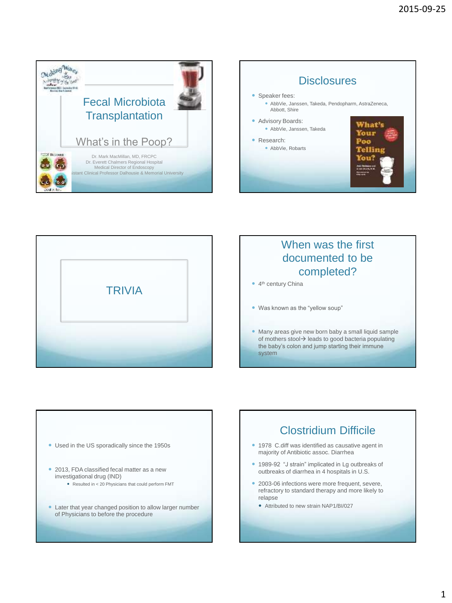





### When was the first documented to be completed?

- 4<sup>th</sup> century China
- Was known as the "yellow soup"
- Many areas give new born baby a small liquid sample of mothers stool $\rightarrow$  leads to good bacteria populating the baby's colon and jump starting their immune system



### Clostridium Difficile

- 1978 C.diff was identified as causative agent in majority of Antibiotic assoc. Diarrhea
- 1989-92 "J strain" implicated in Lg outbreaks of outbreaks of diarrhea in 4 hospitals in U.S.
- 2003-06 infections were more frequent, severe, refractory to standard therapy and more likely to relapse
	- Attributed to new strain NAP1/BI/027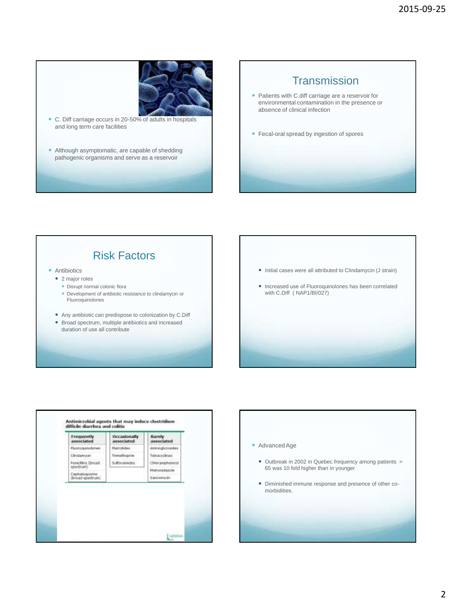

 C. Diff carriage occurs in 20-50% of adults in hospitals and long term care facilities

• Although asymptomatic, are capable of shedding pathogenic organisms and serve as a reservoir

#### **Transmission**

- Patients with C.diff carriage are a reservoir for environmental contamination in the presence or absence of clinical infection
- Fecal-oral spread by ingestion of spores

### Risk Factors

**•** Antibiotics

- 2 major roles
	- Disrupt normal colonic flora
	- Development of antibiotic resistance to clindamycin or Fluoroquinolones
- Any antibiotic can predispose to colonization by C.Diff
- Broad spectrum, multiple antibiotics and increased duration of use all contribute
- Initial cases were all attributed to Clindamycin (J strain)
- Increased use of Fluoroquinolones has been correlated with C.Diff ( NAP1/BI/027)



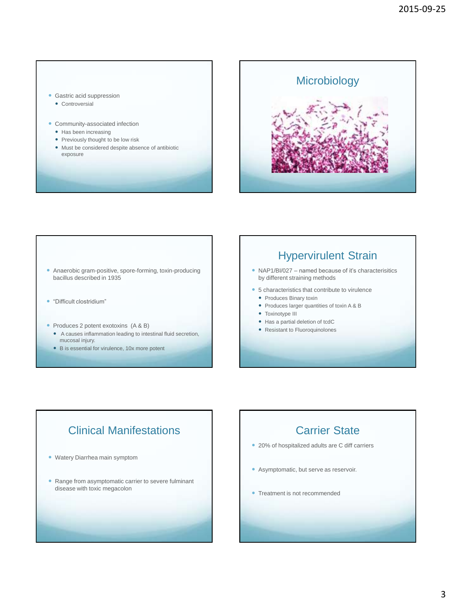#### Gastric acid suppression

- Controversial
- Community-associated infection
	- Has been increasing
	- Previously thought to be low risk
	- Must be considered despite absence of antibiotic exposure



- Anaerobic gram-positive, spore-forming, toxin-producing bacillus described in 1935
- "Difficult clostridium"
- Produces 2 potent exotoxins (A & B)
	- A causes inflammation leading to intestinal fluid secretion, mucosal injury.
	- B is essential for virulence, 10x more potent

#### Hypervirulent Strain

- NAP1/BI/027 named because of it's characterisitics by different straining methods
- 5 characteristics that contribute to virulence
	- Produces Binary toxin
	- Produces larger quantities of toxin A & B
	- Toxinotype III
	- Has a partial deletion of tcdC
	- Resistant to Fluoroquinolones

## Clinical Manifestations

- Watery Diarrhea main symptom
- Range from asymptomatic carrier to severe fulminant disease with toxic megacolon

### Carrier State

- 20% of hospitalized adults are C diff carriers
- Asymptomatic, but serve as reservoir.
- Treatment is not recommended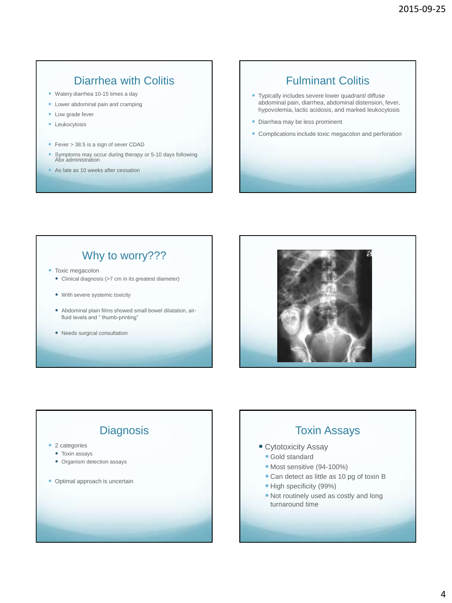### Diarrhea with Colitis

- Watery diarrhea 10-15 times a day
- Lower abdominal pain and cramping
- Low grade fever
- **•** Leukocytosis
- Fever > 38.5 is a sign of sever CDAD
- Symptoms may occur during therapy or 5-10 days following Abx administration
- As late as 10 weeks after cessation

### Fulminant Colitis

- Typically includes severe lower quadrant/ diffuse abdominal pain, diarrhea, abdominal distension, fever, hypovolemia, lactic acidosis, and marked leukocytosis
- Diarrhea may be less prominent
- Complications include toxic megacolon and perforation

### Why to worry???

- Toxic megacolon
	- Clinical diagnosis (>7 cm in its greatest diameter)
	- With severe systemic toxicity
	- Abdominal plain films showed small bowel dilatation, airfluid levels and " thumb-printing"
	- Needs surgical consultation



#### **Diagnosis** • 2 categories • Toxin assays • Organism detection assays • Optimal approach is uncertain Toxin Assays • Cytotoxicity Assay Gold standard • Most sensitive (94-100%) Can detect as little as 10 pg of toxin B • High specificity (99%) Not routinely used as costly and long turnaround time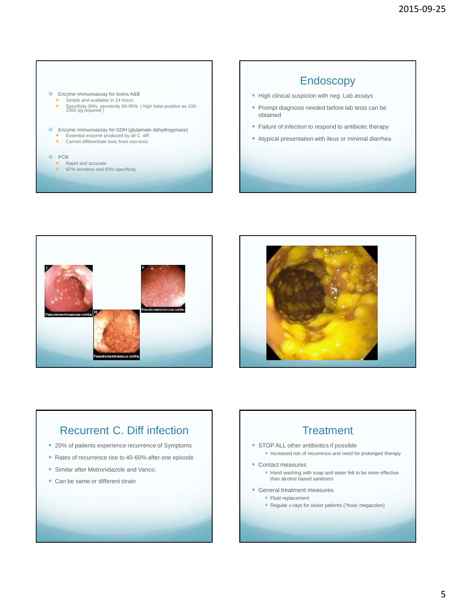





### Recurrent C. Diff infection

- 20% of patients experience recurrence of Symptoms
- Rates of recurrence rise to 40-60% after one episode
- Similar after Metronidazole and Vanco.
- Can be same or different strain

### **Treatment**

- STOP ALL other antibiotics if possible
	- Increased risk of recurrence and need for prolonged therapy
- Contact measures
	- Hand washing with soap and water felt to be more effective than alcohol based sanitizers
- General treatment measures
	- Fluid replacement
		- Regular x-rays for sicker patients (?toxic megacolon)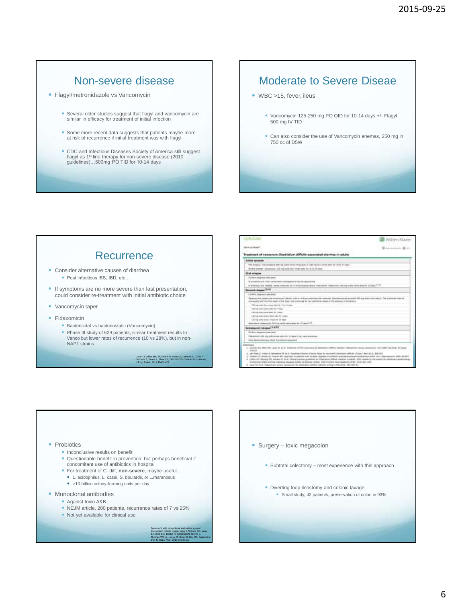#### Non-severe disease

- Flagyl/metronidazole vs Vancomycin
	- Several older studies suggest that flagyl and vancomycin are similar in efficacy for treatment of initial infection
	- Some more recent data suggests that patients maybe more at risk of recurrence if initial treatment was with flagyl
	- CDC and Infectious Diseases Society of America still suggest flagyl as 1st line therapy for non-severe disease (2010 guidelines)…500mg PO TID for 10-14 days

#### Moderate to Severe Diseae

- WBC >15, fever, ileus
	- Vancomycin 125-250 mg PO QID for 10-14 days +/- Flagyl 500 mg IV TID
	- Can also consider the use of Vancomycin enemas, 250 mg in 750 cc of D5W

#### **Recurrence**

- Consider alternative causes of diarrhea ● Post infectious IBS, IBD, etc...
	-
- If symptoms are no more severe than last presentation, could consider re-treatment with initial antibiotic choice
- Vancomycin taper
- Fidaxomicin
	- Bactericidal vs bacteriostatic (Vancomycin)
	- Phase III study of 629 patients, similar treatment results to Vanco but lower rates of recurrence (10 vs 28%), but in non-NAP1 strains

Louie TJ, Miller MA, Mullane KM, Weiss K, Lentnek A, Golan Y, Gorbach S, Sears P, Shue YK, OPT-80-003 Clinical Study Group, N Engl J Med. 2011;364(5):422.

#### **UdFoCune S**. Wolten Kiswer  $10 - 1$  $44 - 1$ Treatment of newsvere Clostridium difficile as cloted diamond in adults Defined against the company of the space of the first state of 1970 and the space of the late of the parties and comparison (23 mg pagly tips: treats starty the 32 kp 14 days) first relates. For example, the point of the state of the contract of the state of the contract of the contract of the contract of the contract of the contract of the contract of the contract of the contract of the contract of the contr  $\frac{1}{2}$  and  $\frac{1}{2}$  and  $\frac{1}{2}$  and  $\frac{1}{2}$  and  $\frac{1}{2}$  and  $\frac{1}{2}$  and  $\frac{1}{2}$  and  $\frac{1}{2}$  and  $\frac{1}{2}$  and  $\frac{1}{2}$  and  $\frac{1}{2}$  and  $\frac{1}{2}$  and  $\frac{1}{2}$  and  $\frac{1}{2}$  and  $\frac{1}{2}$  and  $\frac{1}{2}$  a to a site terms send. We are stiling make over allee van he 1 s<br>Ell my omto over 1 specier of de T-Figure 44th for the second  $-75.637$ later true hours at **DE POR MA** AN OF DEED STRAIN a ser erei



• Surgery – toxic megacolon Subtotal colectomy – most experience with this approach Diverting loop ileostomy and colonic lavage Small study, 42 patients, preservation of colon in 93%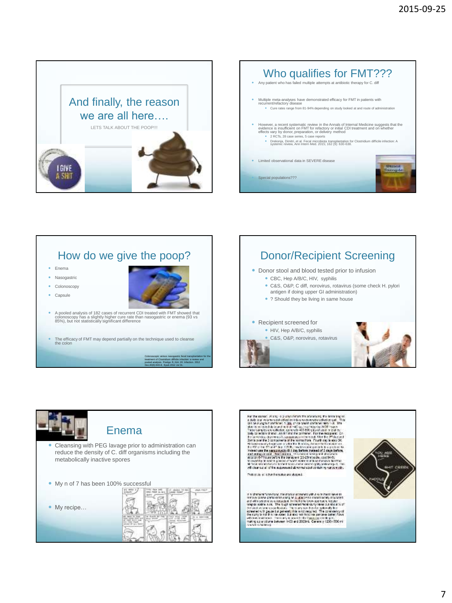





Colonoscopic versus nasogastric fecal transplantation for the treatment of Clostridium difficile infection: a review and pooled analysis. Postigo R, Kim JH. Infection. 2012 Dec;40(6):643-8. Epub 2012 Jul 31.





For the matrix  $\sim$  0.000  $\sim$  0.000 and the matrix of the matrix of the matrix of the matrix of the matrix of the matrix of the matrix of the matrix of the matrix of the matrix of the matrix of the matrix of the matrix o have a statement was a public

 $\sigma$  is the set "expressed the first the symmetry of the set of the symmetry of the symmetry contained by the symmetry of the symmetry of the symmetry of the symmetry of the symmetry of the symmetry of the symmetry of the

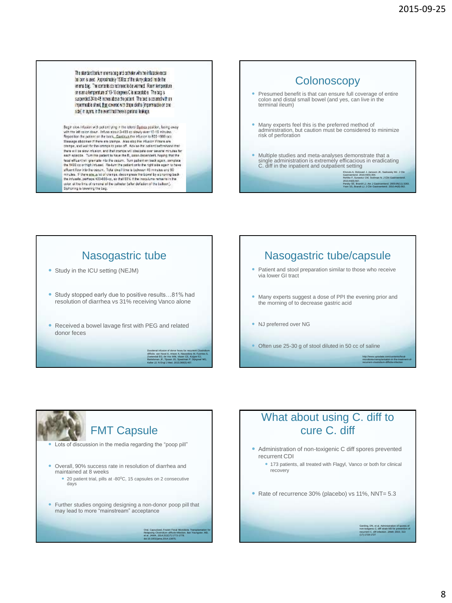The standard bank memana begiand catheter with the inflatable recorbeloon is used. Approximately 1500pc of the skirry placed inside the energibe, The contents do not need to be warmed. Room temperature or even a temperature of 10-16 degrees C is acceptable. The bag is suspended 24 to 48 increa above the patient. The bed is covered with an impermeable sheet, they covered with these cloths (impermeable on one) sdej in eyers, in the event that there is perional leakage.

Segir also influsion with put antiping in the interal Europa position, being away with the left calor down. Inhere atouch 4400 or showly over 10-15 minutes.<br>Reportion the puters contributed, Capabian free inhere to ESS-10 Massage abdomen Mchene are cramps. Also size the infusion if there are compatible from the compatible from the cramps to pass off. Advise the catalogical matrix there will be slow infusion, and that cramps will pleasure over several minutes for<br>each episode. Turn the patient to have the R, polon dependent, hoping that the state spiesta. Turt ha praient to the country. The publishment report in the figure of the state of the spin of the spin of the spin of the spin of the spin of the spin of the spin of the spin of the spin of the spin of t oder attra tira of ranceal of the catheter (after definion of the balloon).<br>Sisteming is lowering the bag.

### **Colonoscopy**  Presumed benefit is that can ensure full coverage of entire colon and distal small bowel (and yes, can live in the terminal ileum) Many experts feel this is the preferred method of administration, but caution must be considered to minimize risk of perforation Multiple studies and meta-analyses demonstrate that a single administration is extremely efficacious in eradicating C. diff in the inpatient and outpatient setting Khoruts A, Dicksved J, Jansson JK, Sadowsky MJ. J Clin Gastroenterol. 2010;44(5):354.<br>Rohlke F, Surawicz CM, Stollman N. J Clin Gastroenterol.<br>2010;44(8):567.<br>Persky SE, Brandt LJ. J Clin Gastroenterol. 2010;44(8):562.<br>Yoon SS, Brandt LJ. J Clin Gastroenterol. 2010;44(8):562.

## Nasogastric tube • Study in the ICU setting (NEJM) Study stopped early due to positive results…81% had resolution of diarrhea vs 31% receiving Vanco alone Received a bowel lavage first with PEG and related donor feces Duodenal infusion of donor feces for recurrent Clostridium difficile. van Nood E, Vrieze A, Nieuwdorp M, Fuentes S, Zoetendal EG, de Vos WM, Visser CE, Kuijper EJ, Bartelsman JF, Tijssen JG, Speelman P, Dijkgraaf MG,

Keller JJ. N Engl J Med. 2013;368(5):407.

## Nasogastric tube/capsule Patient and stool preparation similar to those who receive via lower GI tract

- Many experts suggest a dose of PPI the evening prior and the morning of to decrease gastric acid
- NJ preferred over NG
- Often use 25-30 g of stool diluted in 50 cc of saline



### What about using C. diff to cure C. diff

- Administration of non-toxigenic C diff spores prevented recurrent CDI
	- 173 patients, all treated with Flagyl, Vanco or both for clinical recovery
- Rate of recurrence 30% (placebo) vs 11%, NNT= 5.3

Gerding, DN, et al. Administration of spores of non-toxigenic C. diff strain M3 for prevention of recurrent C. diff infection. JAMA 2015; 313 (17):1719-1727

http://www.uptodate.com/contents/fecalmicrobiota-transplantation-in-the-treatment-ofrecurrent-clostridium-difficile-infection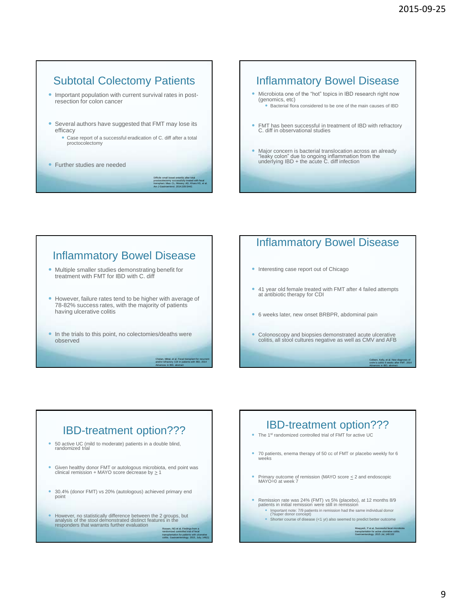### Subtotal Colectomy Patients

 Important population with current survival rates in postresection for colon cancer

- Several authors have suggested that FMT may lose its efficacy
	- Case report of a successful eradication of C. diff after a total proctocolectomy
- Further studies are needed

Difficile small bowel enteritis after total proctocolectomy successfully treated with fecal transplant. Miao CL, Mowery AD, Khara HS, et al. Am J Gastroenterol. 2014;109:S442.

### Inflammatory Bowel Disease

- Microbiota one of the "hot" topics in IBD research right now (genomics, etc) Bacterial flora considered to be one of the main causes of IBD
- FMT has been successful in treatment of IBD with refractory C. diff in observational studies
- Major concern is bacterial translocation across an already "leaky colon" due to ongoing inflammation from the underlying IBD + the acute C. diff infection

#### Inflammatory Bowel Disease

- Multiple smaller studies demonstrating benefit for treatment with FMT for IBD with C. diff
- However, failure rates tend to be higher with average of 78-82% success rates, with the majority of patients having ulcerative colitis
- In the trials to this point, no colectomies/deaths were observed

Chetan, Mittal, et al. Fecal transplant for recurrent and/or refractory CDI in patients with IBD, 2014 Advances in IBD, abstract

transplantation for patients with ulcerative colitis. Gastroenterology. 2015, July; 149(1)

#### Inflammatory Bowel Disease

- Interesting case report out of Chicago
- 41 year old female treated with FMT after 4 failed attempts at antibiotic therapy for CDI
- 6 weeks later, new onset BRBPR, abdominal pain
- Colonoscopy and biopsies demonstrated acute ulcerative colitis, all stool cultures negative as well as CMV and AFB

Colleen, Kelly, et al. New diagnosis of crohn's colitis 6 weeks after FMT. 2014 Advances in IBD, abstract.

# IBD-treatment option??? 50 active UC (mild to moderate) patients in a double blind, randomized trial Given healthy donor FMT or autologous microbiota, end point was clinical remission + MAYO score decrease by  $\geq 1$  30.4% (donor FMT) vs 20% (autologous) achieved primary end point ■ However, no statistically difference between the 2 groups, but<br>analysis of the stool demonstrated distinct features in the<br>responders that warrants further evaluation<br>Rossen, NG et al. Findings from a randomized controlled trial of fecal